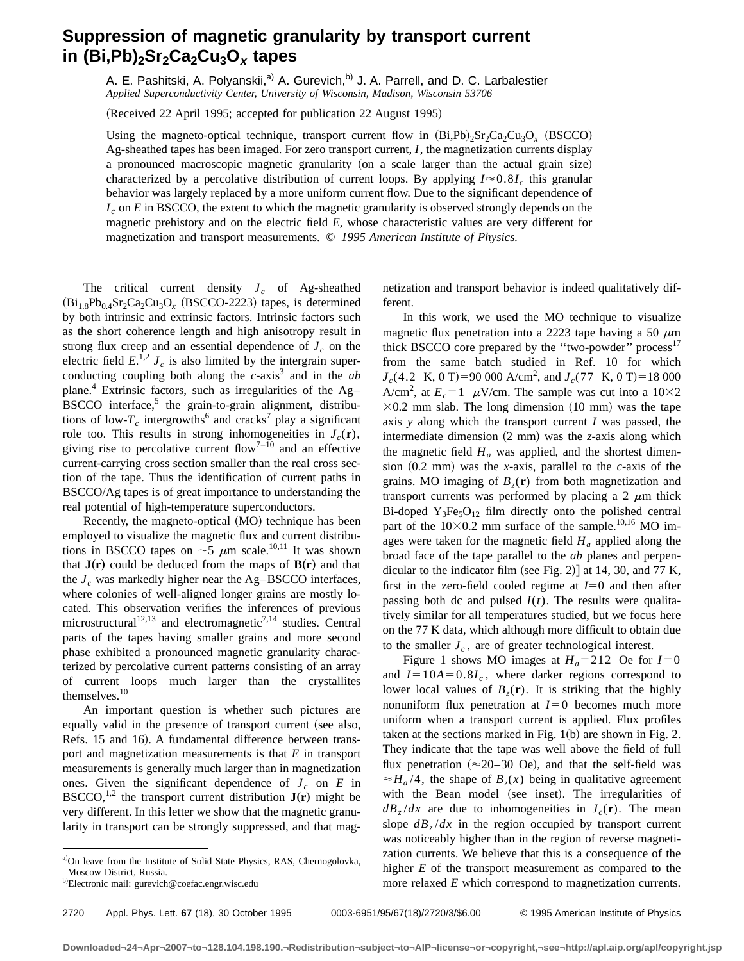## **Suppression of magnetic granularity by transport current** in (Bi,Pb)<sub>2</sub>Sr<sub>2</sub>Ca<sub>2</sub>Cu<sub>3</sub>O<sub>x</sub> tapes

A. E. Pashitski, A. Polyanskii,<sup>a)</sup> A. Gurevich,<sup>b)</sup> J. A. Parrell, and D. C. Larbalestier *Applied Superconductivity Center, University of Wisconsin, Madison, Wisconsin 53706*

(Received 22 April 1995; accepted for publication 22 August 1995)

Using the magneto-optical technique, transport current flow in  $(Bi,Pb)_{2}Sr_{2}Ca_{2}Cu_{3}O_{x}$  (BSCCO) Ag-sheathed tapes has been imaged. For zero transport current, *I*, the magnetization currents display a pronounced macroscopic magnetic granularity (on a scale larger than the actual grain size) characterized by a percolative distribution of current loops. By applying  $I \approx 0.8I_c$  this granular behavior was largely replaced by a more uniform current flow. Due to the significant dependence of *I*<sub>c</sub> on *E* in BSCCO, the extent to which the magnetic granularity is observed strongly depends on the magnetic prehistory and on the electric field *E*, whose characteristic values are very different for magnetization and transport measurements. © *1995 American Institute of Physics.*

The critical current density  $J_c$  of Ag-sheathed  $(Bi_{1.8}Pb_{0.4}Sr_2Ca_2Cu_3O_x$  (BSCCO-2223) tapes, is determined by both intrinsic and extrinsic factors. Intrinsic factors such as the short coherence length and high anisotropy result in strong flux creep and an essential dependence of  $J_c$  on the electric field  $E^{1,2}$   $J_c$  is also limited by the intergrain superconducting coupling both along the  $c$ -axis<sup>3</sup> and in the  $ab$ plane.<sup>4</sup> Extrinsic factors, such as irregularities of the  $Ag-$ BSCCO interface,<sup>5</sup> the grain-to-grain alignment, distributions of low- $T_c$  intergrowths<sup>6</sup> and cracks<sup>7</sup> play a significant role too. This results in strong inhomogeneities in  $J_c(\mathbf{r})$ , giving rise to percolative current flow<sup>7–10</sup> and an effective current-carrying cross section smaller than the real cross section of the tape. Thus the identification of current paths in BSCCO/Ag tapes is of great importance to understanding the real potential of high-temperature superconductors.

Recently, the magneto-optical (MO) technique has been employed to visualize the magnetic flux and current distributions in BSCCO tapes on  $\sim$  5  $\mu$ m scale.<sup>10,11</sup> It was shown that  $J(r)$  could be deduced from the maps of  $B(r)$  and that the  $J_c$  was markedly higher near the Ag–BSCCO interfaces, where colonies of well-aligned longer grains are mostly located. This observation verifies the inferences of previous microstructural<sup>12,13</sup> and electromagnetic<sup>7,14</sup> studies. Central parts of the tapes having smaller grains and more second phase exhibited a pronounced magnetic granularity characterized by percolative current patterns consisting of an array of current loops much larger than the crystallites themselves.<sup>10</sup>

An important question is whether such pictures are equally valid in the presence of transport current (see also, Refs. 15 and 16). A fundamental difference between transport and magnetization measurements is that *E* in transport measurements is generally much larger than in magnetization ones. Given the significant dependence of  $J_c$  on  $E$  in BSCCO,<sup>1,2</sup> the transport current distribution  $J(r)$  might be very different. In this letter we show that the magnetic granularity in transport can be strongly suppressed, and that magnetization and transport behavior is indeed qualitatively different.

In this work, we used the MO technique to visualize magnetic flux penetration into a 2223 tape having a 50  $\mu$ m thick BSCCO core prepared by the "two-powder" process $17$ from the same batch studied in Ref. 10 for which  $J_c$ (4.2 K, 0 T)=90 000 A/cm<sup>2</sup>, and  $J_c$ (77 K, 0 T)=18 000 A/cm<sup>2</sup>, at  $E_c = 1$   $\mu$ V/cm. The sample was cut into a 10×2  $\times$ 0.2 mm slab. The long dimension (10 mm) was the tape axis *y* along which the transport current *I* was passed, the intermediate dimension (2 mm) was the *z*-axis along which the magnetic field  $H_a$  was applied, and the shortest dimension  $(0.2 \text{ mm})$  was the *x*-axis, parallel to the *c*-axis of the grains. MO imaging of  $B_7(r)$  from both magnetization and transport currents was performed by placing a 2  $\mu$ m thick Bi-doped  $Y_3Fe_5O_{12}$  film directly onto the polished central part of the  $10\times0.2$  mm surface of the sample.<sup>10,16</sup> MO images were taken for the magnetic field  $H_a$  applied along the broad face of the tape parallel to the *ab* planes and perpendicular to the indicator film (see Fig. 2)] at 14, 30, and 77 K, first in the zero-field cooled regime at  $I=0$  and then after passing both dc and pulsed  $I(t)$ . The results were qualitatively similar for all temperatures studied, but we focus here on the 77 K data, which although more difficult to obtain due to the smaller  $J_c$ , are of greater technological interest.

Figure 1 shows MO images at  $H_a = 212$  Oe for  $I=0$ and  $I=10A=0.8I_c$ , where darker regions correspond to lower local values of  $B_7(\mathbf{r})$ . It is striking that the highly nonuniform flux penetration at  $I=0$  becomes much more uniform when a transport current is applied. Flux profiles taken at the sections marked in Fig.  $1(b)$  are shown in Fig. 2. They indicate that the tape was well above the field of full flux penetration ( $\approx$ 20–30 Oe), and that the self-field was  $\approx H_a/4$ , the shape of  $B_z(x)$  being in qualitative agreement with the Bean model (see inset). The irregularities of  $dB_z/dx$  are due to inhomogeneities in  $J_c(\mathbf{r})$ . The mean slope  $dB_z/dx$  in the region occupied by transport current was noticeably higher than in the region of reverse magnetization currents. We believe that this is a consequence of the higher *E* of the transport measurement as compared to the more relaxed *E* which correspond to magnetization currents.

a)On leave from the Institute of Solid State Physics, RAS, Chernogolovka, Moscow District, Russia.

<sup>&</sup>lt;sup>b)</sup>Electronic mail: gurevich@coefac.engr.wisc.edu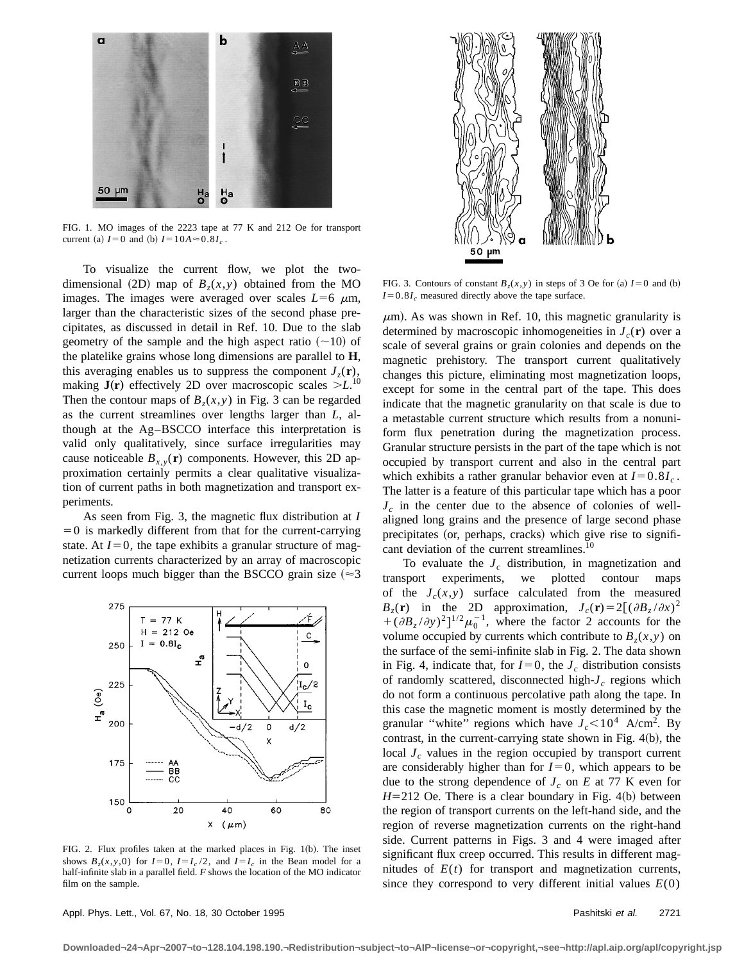

FIG. 1. MO images of the 2223 tape at 77 K and 212 Oe for transport current (a)  $I = 0$  and (b)  $I = 10A \approx 0.8I_c$ .

To visualize the current flow, we plot the twodimensional (2D) map of  $B_7(x,y)$  obtained from the MO images. The images were averaged over scales  $L=6 \mu m$ , larger than the characteristic sizes of the second phase precipitates, as discussed in detail in Ref. 10. Due to the slab geometry of the sample and the high aspect ratio  $(\sim 10)$  of the platelike grains whose long dimensions are parallel to **H**, this averaging enables us to suppress the component  $J_z(\mathbf{r})$ , making  $J(r)$  effectively 2D over macroscopic scales  $>L^{10}$ . Then the contour maps of  $B_7(x, y)$  in Fig. 3 can be regarded as the current streamlines over lengths larger than *L*, although at the Ag–BSCCO interface this interpretation is valid only qualitatively, since surface irregularities may cause noticeable  $B_{x,y}(\mathbf{r})$  components. However, this 2D approximation certainly permits a clear qualitative visualization of current paths in both magnetization and transport experiments.

As seen from Fig. 3, the magnetic flux distribution at *I*  $=0$  is markedly different from that for the current-carrying state. At  $I=0$ , the tape exhibits a granular structure of magnetization currents characterized by an array of macroscopic current loops much bigger than the BSCCO grain size  $(\approx 3)$ 



FIG. 2. Flux profiles taken at the marked places in Fig.  $1(b)$ . The inset shows  $B_z(x, y, 0)$  for  $I=0$ ,  $I=I_c/2$ , and  $I=I_c$  in the Bean model for a half-infinite slab in a parallel field. *F* shows the location of the MO indicator film on the sample.



FIG. 3. Contours of constant  $B_r(x, y)$  in steps of 3 Oe for (a)  $I=0$  and (b)  $I=0.8I_c$  measured directly above the tape surface.

 $\mu$ m). As was shown in Ref. 10, this magnetic granularity is determined by macroscopic inhomogeneities in  $J_c(\mathbf{r})$  over a scale of several grains or grain colonies and depends on the magnetic prehistory. The transport current qualitatively changes this picture, eliminating most magnetization loops, except for some in the central part of the tape. This does indicate that the magnetic granularity on that scale is due to a metastable current structure which results from a nonuniform flux penetration during the magnetization process. Granular structure persists in the part of the tape which is not occupied by transport current and also in the central part which exhibits a rather granular behavior even at  $I=0.8I_c$ . The latter is a feature of this particular tape which has a poor  $J_c$  in the center due to the absence of colonies of wellaligned long grains and the presence of large second phase precipitates (or, perhaps, cracks) which give rise to significant deviation of the current streamlines.<sup>10</sup>

To evaluate the  $J_c$  distribution, in magnetization and transport experiments, we plotted contour maps of the  $J_c(x,y)$  surface calculated from the measured  $B_z(\mathbf{r})$  in the 2D approximation,  $J_c(\mathbf{r}) = 2[(\partial B_z/\partial x)^2]$  $+(\partial B_z/\partial y)^2]^{1/2}\mu_0^{-1}$ , where the factor 2 accounts for the volume occupied by currents which contribute to  $B_7(x, y)$  on the surface of the semi-infinite slab in Fig. 2. The data shown in Fig. 4, indicate that, for  $I=0$ , the  $J_c$  distribution consists of randomly scattered, disconnected high-*J<sub>c</sub>* regions which do not form a continuous percolative path along the tape. In this case the magnetic moment is mostly determined by the granular "white" regions which have  $J_c < 10^4$  A/cm<sup>2</sup>. By contrast, in the current-carrying state shown in Fig.  $4(b)$ , the local  $J_c$  values in the region occupied by transport current are considerably higher than for  $I=0$ , which appears to be due to the strong dependence of  $J_c$  on  $E$  at 77 K even for  $H=212$  Oe. There is a clear boundary in Fig. 4(b) between the region of transport currents on the left-hand side, and the region of reverse magnetization currents on the right-hand side. Current patterns in Figs. 3 and 4 were imaged after significant flux creep occurred. This results in different magnitudes of  $E(t)$  for transport and magnetization currents, since they correspond to very different initial values  $E(0)$ 

Appl. Phys. Lett., Vol. 67, No. 18, 30 October 1995 **Pashitski et al.** 2721

**Downloaded¬24¬Apr¬2007¬to¬128.104.198.190.¬Redistribution¬subject¬to¬AIP¬license¬or¬copyright,¬see¬http://apl.aip.org/apl/copyright.jsp**